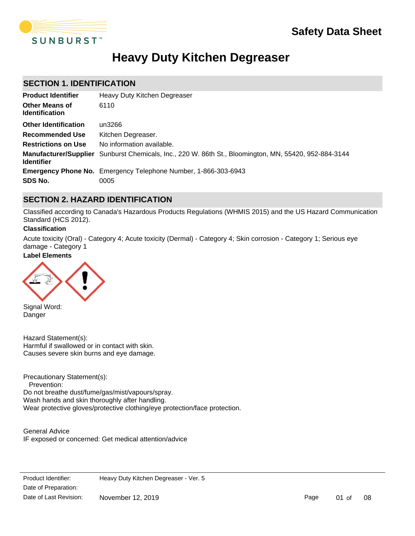

# **Heavy Duty Kitchen Degreaser**

## **SECTION 1. IDENTIFICATION**

| <b>Product Identifier</b>                      | Heavy Duty Kitchen Degreaser                                                                                 |
|------------------------------------------------|--------------------------------------------------------------------------------------------------------------|
| <b>Other Means of</b><br><b>Identification</b> | 6110                                                                                                         |
| <b>Other Identification</b>                    | un3266                                                                                                       |
| <b>Recommended Use</b>                         | Kitchen Degreaser.                                                                                           |
| <b>Restrictions on Use</b>                     | No information available.                                                                                    |
| <b>Identifier</b>                              | <b>Manufacturer/Supplier</b> Sunburst Chemicals, Inc., 220 W. 86th St., Bloomington, MN, 55420, 952-884-3144 |
|                                                | <b>Emergency Phone No.</b> Emergency Telephone Number, 1-866-303-6943                                        |
| SDS No.                                        | 0005                                                                                                         |

## **SECTION 2. HAZARD IDENTIFICATION**

Classified according to Canada's Hazardous Products Regulations (WHMIS 2015) and the US Hazard Communication Standard (HCS 2012).

### **Classification**

Acute toxicity (Oral) - Category 4; Acute toxicity (Dermal) - Category 4; Skin corrosion - Category 1; Serious eye damage - Category 1

### **Label Elements**



Signal Word: Danger

Hazard Statement(s): Harmful if swallowed or in contact with skin. Causes severe skin burns and eye damage.

Precautionary Statement(s): Prevention: Do not breathe dust/fume/gas/mist/vapours/spray. Wash hands and skin thoroughly after handling. Wear protective gloves/protective clothing/eye protection/face protection.

General Advice IF exposed or concerned: Get medical attention/advice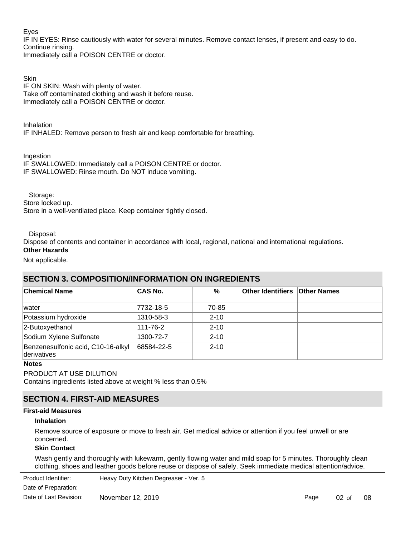### Eyes

IF IN EYES: Rinse cautiously with water for several minutes. Remove contact lenses, if present and easy to do. Continue rinsing.

Immediately call a POISON CENTRE or doctor.

**Skin** IF ON SKIN: Wash with plenty of water. Take off contaminated clothing and wash it before reuse. Immediately call a POISON CENTRE or doctor.

Inhalation IF INHALED: Remove person to fresh air and keep comfortable for breathing.

Ingestion

IF SWALLOWED: Immediately call a POISON CENTRE or doctor. IF SWALLOWED: Rinse mouth. Do NOT induce vomiting.

Storage:

Store locked up.

Store in a well-ventilated place. Keep container tightly closed.

Disposal:

Dispose of contents and container in accordance with local, regional, national and international regulations.

## **Other Hazards**

Not applicable.

## **SECTION 3. COMPOSITION/INFORMATION ON INGREDIENTS**

| <b>Chemical Name</b>                              | <b>CAS No.</b> | %        | <b>Other Identifiers Other Names</b> |  |
|---------------------------------------------------|----------------|----------|--------------------------------------|--|
| lwater                                            | 7732-18-5      | 70-85    |                                      |  |
| Potassium hydroxide                               | 1310-58-3      | $2 - 10$ |                                      |  |
| 2-Butoxyethanol                                   | 111-76-2       | $2 - 10$ |                                      |  |
| Sodium Xylene Sulfonate                           | 1300-72-7      | $2 - 10$ |                                      |  |
| Benzenesulfonic acid, C10-16-alkyl<br>derivatives | 68584-22-5     | $2 - 10$ |                                      |  |

### **Notes**

PRODUCT AT USE DILUTION

Contains ingredients listed above at weight % less than 0.5%

## **SECTION 4. FIRST-AID MEASURES**

### **First-aid Measures**

### **Inhalation**

Remove source of exposure or move to fresh air. Get medical advice or attention if you feel unwell or are concerned.

### **Skin Contact**

Wash gently and thoroughly with lukewarm, gently flowing water and mild soap for 5 minutes. Thoroughly clean clothing, shoes and leather goods before reuse or dispose of safely. Seek immediate medical attention/advice.

**Product Identifier:** Date of Preparation: Heavy Duty Kitchen Degreaser - Ver. 5 Date of Last Revision: November 12, 2019

Page 02 of 08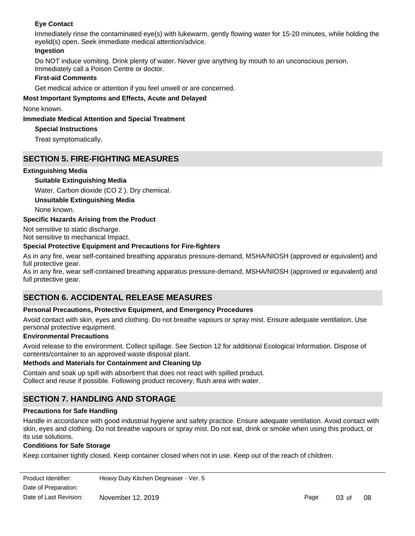### **Eye Contact**

Immediately rinse the contaminated eye(s) with lukewarm, gently flowing water for 15-20 minutes, while holding the eyelid(s) open. Seek immediate medical attention/advice.

### **Ingestion**

Do NOT induce vomiting. Drink plenty of water. Never give anything by mouth to an unconscious person. Immediately call a Poison Centre or doctor.

### **First-aid Comments**

Get medical advice or attention if you feel unwell or are concerned.

### **Most Important Symptoms and Effects, Acute and Delayed**

None known.

### **Immediate Medical Attention and Special Treatment**

### **Special Instructions**

Treat symptomatically.

## **SECTION 5. FIRE-FIGHTING MEASURES**

### **Extinguishing Media**

### **Suitable Extinguishing Media**

Water. Carbon dioxide (CO 2 ). Dry chemical.

**Unsuitable Extinguishing Media**

None known.

### **Specific Hazards Arising from the Product**

Not sensitive to static discharge. Not sensitive to mechanical Impact.

### **Special Protective Equipment and Precautions for Fire-fighters**

As in any fire, wear self-contained breathing apparatus pressure-demand, MSHA/NIOSH (approved or equivalent) and full protective gear.

As in any fire, wear self-contained breathing apparatus pressure-demand, MSHA/NIOSH (approved or equivalent) and full protective gear.

## **SECTION 6. ACCIDENTAL RELEASE MEASURES**

### **Personal Precautions, Protective Equipment, and Emergency Procedures**

Avoid contact with skin, eyes and clothing. Do not breathe vapours or spray mist. Ensure adequate ventilation. Use personal protective equipment.

### **Environmental Precautions**

Avoid release to the environment. Collect spillage. See Section 12 for additional Ecological Information. Dispose of contents/container to an approved waste disposal plant.

### **Methods and Materials for Containment and Cleaning Up**

Contain and soak up spill with absorbent that does not react with spilled product. Collect and reuse if possible. Following product recovery, flush area with water.

## **SECTION 7. HANDLING AND STORAGE**

### **Precautions for Safe Handling**

Handle in accordance with good industrial hygiene and safety practice. Ensure adequate ventilation. Avoid contact with skin, eyes and clothing. Do not breathe vapours or spray mist. Do not eat, drink or smoke when using this product, or its use solutions.

### **Conditions for Safe Storage**

Keep container tightly closed. Keep container closed when not in use. Keep out of the reach of children.

| Product Identifier:    | Heavy Duty Kitchen Degreaser - Ver. 5 |
|------------------------|---------------------------------------|
| Date of Preparation:   |                                       |
| Date of Last Revision: | November 12, 2019                     |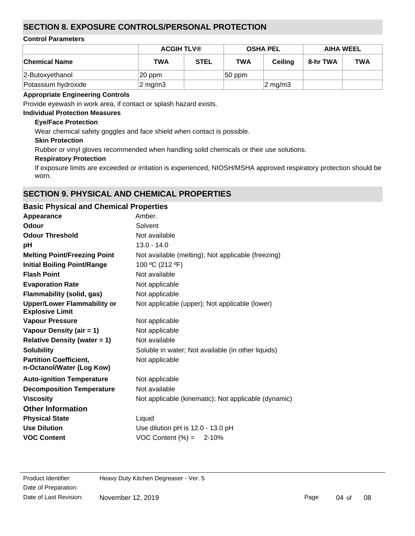## **SECTION 8. EXPOSURE CONTROLS/PERSONAL PROTECTION**

### **Control Parameters**

|                      | <b>ACGIH TLV®</b> |             | <b>OSHA PEL</b> |                    | <b>AIHA WEEL</b> |            |
|----------------------|-------------------|-------------|-----------------|--------------------|------------------|------------|
| <b>Chemical Name</b> | <b>TWA</b>        | <b>STEL</b> | <b>TWA</b>      | <b>Ceiling</b>     | 8-hr TWA         | <b>TWA</b> |
| 2-Butoxyethanol      | 20 ppm            |             | $ 50$ ppm       |                    |                  |            |
| Potassium hydroxide  | $2 \text{ mg/m3}$ |             |                 | $2 \text{ mg/m}$ 3 |                  |            |

### **Appropriate Engineering Controls**

Provide eyewash in work area, if contact or splash hazard exists.

### **Individual Protection Measures**

### **Eye/Face Protection**

Wear chemical safety goggles and face shield when contact is possible.

### **Skin Protection**

Rubber or vinyl gloves recommended when handling solid chemicals or their use solutions.

### **Respiratory Protection**

If exposure limits are exceeded or irritation is experienced, NIOSH/MSHA approved respiratory protection should be worn.

## **SECTION 9. PHYSICAL AND CHEMICAL PROPERTIES**

| <b>Basic Physical and Chemical Properties</b>                |                                                      |
|--------------------------------------------------------------|------------------------------------------------------|
| Appearance                                                   | Amber.                                               |
| Odour                                                        | Solvent                                              |
| <b>Odour Threshold</b>                                       | Not available                                        |
| рH                                                           | $13.0 - 14.0$                                        |
| <b>Melting Point/Freezing Point</b>                          | Not available (melting); Not applicable (freezing)   |
| <b>Initial Boiling Point/Range</b>                           | 100 °C (212 °F)                                      |
| <b>Flash Point</b>                                           | Not available                                        |
| <b>Evaporation Rate</b>                                      | Not applicable                                       |
| <b>Flammability (solid, gas)</b>                             | Not applicable                                       |
| <b>Upper/Lower Flammability or</b><br><b>Explosive Limit</b> | Not applicable (upper); Not applicable (lower)       |
| <b>Vapour Pressure</b>                                       | Not applicable                                       |
| Vapour Density (air = 1)                                     | Not applicable                                       |
| <b>Relative Density (water = 1)</b>                          | Not available                                        |
| <b>Solubility</b>                                            | Soluble in water; Not available (in other liquids)   |
| <b>Partition Coefficient,</b><br>n-Octanol/Water (Log Kow)   | Not applicable                                       |
| <b>Auto-ignition Temperature</b>                             | Not applicable                                       |
| <b>Decomposition Temperature</b>                             | Not available                                        |
| <b>Viscosity</b>                                             | Not applicable (kinematic); Not applicable (dynamic) |
| <b>Other Information</b>                                     |                                                      |
| <b>Physical State</b>                                        | Liquid                                               |
| <b>Use Dilution</b>                                          | Use dilution pH is 12.0 - 13.0 pH                    |
| <b>VOC Content</b>                                           | VOC Content $(\% ) = 2-10\%$                         |
|                                                              |                                                      |

Date of Preparation: Date of Last Revision: November 12, 2019

Product Identifier: Heavy Duty Kitchen Degreaser - Ver. 5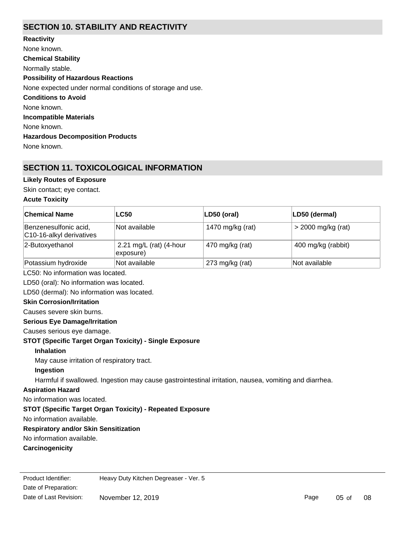## **SECTION 10. STABILITY AND REACTIVITY**

**Chemical Stability** Normally stable. **Conditions to Avoid** None known. **Incompatible Materials** None known. **Hazardous Decomposition Products** None known. **Possibility of Hazardous Reactions** None expected under normal conditions of storage and use. **Reactivity** None known.

## **SECTION 11. TOXICOLOGICAL INFORMATION**

### **Likely Routes of Exposure**

Skin contact; eye contact.

### **Acute Toxicity**

| <b>Chemical Name</b>                                           | <b>LC50</b>                                                                                           | LD50 (oral)      | LD50 (dermal)      |  |  |
|----------------------------------------------------------------|-------------------------------------------------------------------------------------------------------|------------------|--------------------|--|--|
| Benzenesulfonic acid,<br>C10-16-alkyl derivatives              | Not available                                                                                         | 1470 mg/kg (rat) | > 2000 mg/kg (rat) |  |  |
| 2-Butoxyethanol                                                | 2.21 mg/L (rat) (4-hour<br>exposure)                                                                  | 470 mg/kg (rat)  | 400 mg/kg (rabbit) |  |  |
| Potassium hydroxide                                            | Not available                                                                                         | 273 mg/kg (rat)  | Not available      |  |  |
| LC50: No information was located.                              |                                                                                                       |                  |                    |  |  |
| LD50 (oral): No information was located.                       |                                                                                                       |                  |                    |  |  |
| LD50 (dermal): No information was located.                     |                                                                                                       |                  |                    |  |  |
| <b>Skin Corrosion/Irritation</b>                               |                                                                                                       |                  |                    |  |  |
| Causes severe skin burns.                                      |                                                                                                       |                  |                    |  |  |
| <b>Serious Eye Damage/Irritation</b>                           |                                                                                                       |                  |                    |  |  |
| Causes serious eye damage.                                     |                                                                                                       |                  |                    |  |  |
| <b>STOT (Specific Target Organ Toxicity) - Single Exposure</b> |                                                                                                       |                  |                    |  |  |
| <b>Inhalation</b>                                              |                                                                                                       |                  |                    |  |  |
| May cause irritation of respiratory tract.                     |                                                                                                       |                  |                    |  |  |
| Ingestion                                                      |                                                                                                       |                  |                    |  |  |
|                                                                | Harmful if swallowed. Ingestion may cause gastrointestinal irritation, nausea, vomiting and diarrhea. |                  |                    |  |  |
| <b>Aspiration Hazard</b>                                       |                                                                                                       |                  |                    |  |  |
| No information was located.                                    |                                                                                                       |                  |                    |  |  |
| STOT (Specific Target Organ Toxicity) - Repeated Exposure      |                                                                                                       |                  |                    |  |  |
| No information available.                                      |                                                                                                       |                  |                    |  |  |
| <b>Respiratory and/or Skin Sensitization</b>                   |                                                                                                       |                  |                    |  |  |
| No information available.                                      |                                                                                                       |                  |                    |  |  |
| Carcinogenicity                                                |                                                                                                       |                  |                    |  |  |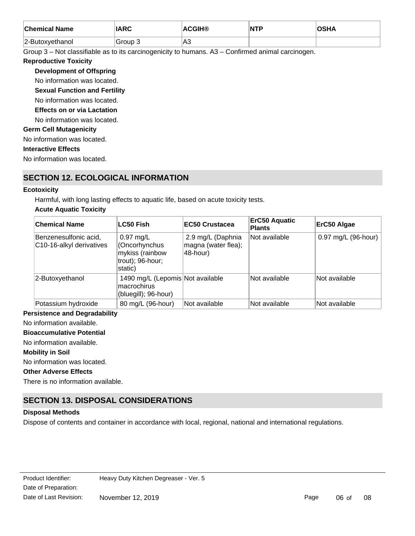| <b>Chemical Name</b> | <b>ADC</b><br>ARU | `CGIH® | $\overline{\mathsf{NTP}}$ |  |
|----------------------|-------------------|--------|---------------------------|--|
| 2-Butoxyethanol      | Group 3           | lA3    |                           |  |

Group 3 – Not classifiable as to its carcinogenicity to humans. A3 – Confirmed animal carcinogen.

### **Reproductive Toxicity**

### **Development of Offspring**

No information was located.

### **Sexual Function and Fertility**

No information was located.

**Effects on or via Lactation**

No information was located.

### **Germ Cell Mutagenicity**

No information was located.

### **Interactive Effects**

No information was located.

## **SECTION 12. ECOLOGICAL INFORMATION**

### **Ecotoxicity**

Harmful, with long lasting effects to aquatic life, based on acute toxicity tests.

### **Acute Aquatic Toxicity**

| <b>Chemical Name</b>                              | <b>LC50 Fish</b>                                                                       | <b>EC50 Crustacea</b>                                | <b>ErC50 Aquatic</b><br><b>Plants</b> | ErC50 Algae         |
|---------------------------------------------------|----------------------------------------------------------------------------------------|------------------------------------------------------|---------------------------------------|---------------------|
| Benzenesulfonic acid,<br>C10-16-alkyl derivatives | $0.97 \text{ mg/L}$<br>(Oncorhynchus<br>mykiss (rainbow<br>trout); 96-hour;<br>static) | 2.9 mg/L (Daphnia<br>magna (water flea);<br>48-hour) | Not available                         | 0.97 mg/L (96-hour) |
| 2-Butoxyethanol                                   | 1490 mg/L (Lepomis Not available<br>macrochirus<br>(bluegill); 96-hour)                |                                                      | Not available                         | Not available       |
| Potassium hydroxide                               | 80 mg/L (96-hour)                                                                      | <b>Not available</b>                                 | Not available                         | Not available       |

### **Persistence and Degradability**

No information available.

**Bioaccumulative Potential**

No information available.

### **Mobility in Soil**

No information was located.

### **Other Adverse Effects**

There is no information available.

## **SECTION 13. DISPOSAL CONSIDERATIONS**

### **Disposal Methods**

Dispose of contents and container in accordance with local, regional, national and international regulations.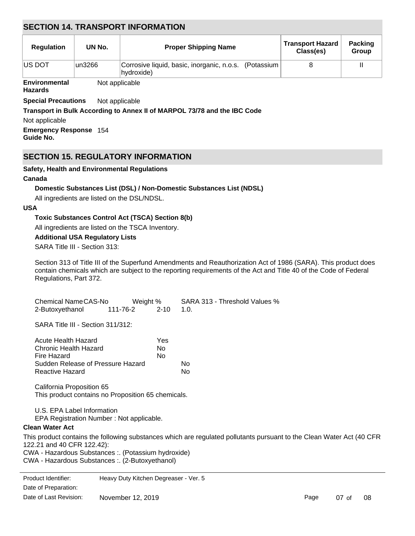## **SECTION 14. TRANSPORT INFORMATION**

| <b>Regulation</b>    | UN No.  | <b>Proper Shipping Name</b>                                         | <b>Transport Hazard</b><br>Class(es) | <b>Packing</b><br>Group |
|----------------------|---------|---------------------------------------------------------------------|--------------------------------------|-------------------------|
| <b>IUS DOT</b>       | lun3266 | Corrosive liquid, basic, inorganic, n.o.s. (Potassium<br>hydroxide) |                                      |                         |
| <b>Environmental</b> |         | Not applicable                                                      |                                      |                         |

### **Hazards**

**Special Precautions** Not applicable

### **Transport in Bulk According to Annex II of MARPOL 73/78 and the IBC Code**

Not applicable

**Emergency Response** 154 **Guide No.**

## **SECTION 15. REGULATORY INFORMATION**

### **Safety, Health and Environmental Regulations**

### **Canada**

### **Domestic Substances List (DSL) / Non-Domestic Substances List (NDSL)**

All ingredients are listed on the DSL/NDSL.

### **USA**

### **Toxic Substances Control Act (TSCA) Section 8(b)**

All ingredients are listed on the TSCA Inventory.

### **Additional USA Regulatory Lists**

SARA Title III - Section 313:

Section 313 of Title III of the Superfund Amendments and Reauthorization Act of 1986 (SARA). This product does contain chemicals which are subject to the reporting requirements of the Act and Title 40 of the Code of Federal Regulations, Part 372.

| Chemical NameCAS-No | Weight % |                | SARA 313 - Threshold Values % |
|---------------------|----------|----------------|-------------------------------|
| 2-Butoxyethanol     | 111-76-2 | $2 - 10 - 1.0$ |                               |

SARA Title III - Section 311/312:

| Acute Health Hazard               | Yes |    |
|-----------------------------------|-----|----|
| Chronic Health Hazard             | N٥  |    |
| Fire Hazard                       | N٥  |    |
| Sudden Release of Pressure Hazard |     | N٥ |
| Reactive Hazard                   |     | N٥ |

California Proposition 65 This product contains no Proposition 65 chemicals.

U.S. EPA Label Information

EPA Registration Number : Not applicable.

### **Clean Water Act**

**CERCLA** 

This product contains the following substances which are regulated pollutants pursuant to the Clean Water Act (40 CFR 122.21 and 40 CFR 122.42): CWA - Hazardous Substances :. (Potassium hydroxide)

CWA - Hazardous Substances :. (2-Butoxyethanol)

Date of Preparation: Product Identifier: Heavy Duty Kitchen Degreaser - Ver. 5 Date of Last Revision: November 12, 2019

Page 07 of 08